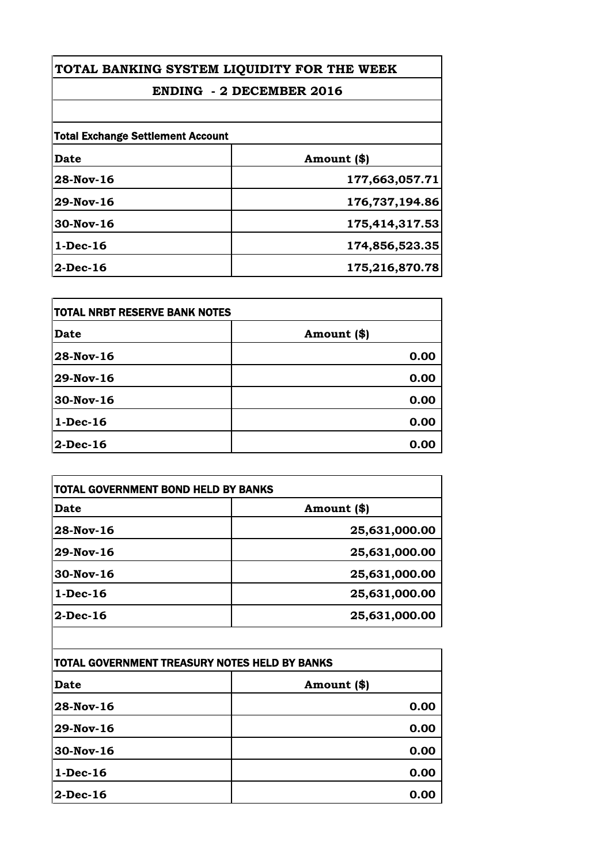## **TOTAL BANKING SYSTEM LIQUIDITY FOR THE WEEK**

## **ENDING - 2 DECEMBER 2016**

| <b>Total Exchange Settlement Account</b> |                |
|------------------------------------------|----------------|
| Date                                     | Amount (\$)    |
| 28-Nov-16                                | 177,663,057.71 |
| 29-Nov-16                                | 176,737,194.86 |
| 30-Nov-16                                | 175,414,317.53 |
| $1-Dec-16$                               | 174,856,523.35 |
| 2-Dec-16                                 | 175,216,870.78 |

| <b>TOTAL NRBT RESERVE BANK NOTES</b> |             |
|--------------------------------------|-------------|
| <b>Date</b>                          | Amount (\$) |
| 28-Nov-16                            | 0.00        |
| 29-Nov-16                            | 0.00        |
| 30-Nov-16                            | 0.00        |
| $1-Dec-16$                           | 0.00        |
| $2-Dec-16$                           | 0.00        |

| Date         | Amount (\$)   |
|--------------|---------------|
| $28-Nov-16$  | 25,631,000.00 |
| $29$ -Nov-16 | 25,631,000.00 |
| $30-Nov-16$  | 25,631,000.00 |
| $1-Dec-16$   | 25,631,000.00 |
| $2-Dec-16$   | 25,631,000.00 |
|              |               |

| TOTAL GOVERNMENT TREASURY NOTES HELD BY BANKS |             |
|-----------------------------------------------|-------------|
| <b>Date</b>                                   | Amount (\$) |
| 28-Nov-16                                     | 0.00        |
| 29-Nov-16                                     | 0.00        |
| 30-Nov-16                                     | 0.00        |
| $1-Dec-16$                                    | 0.00        |
| $2$ -Dec-16                                   | 0.00        |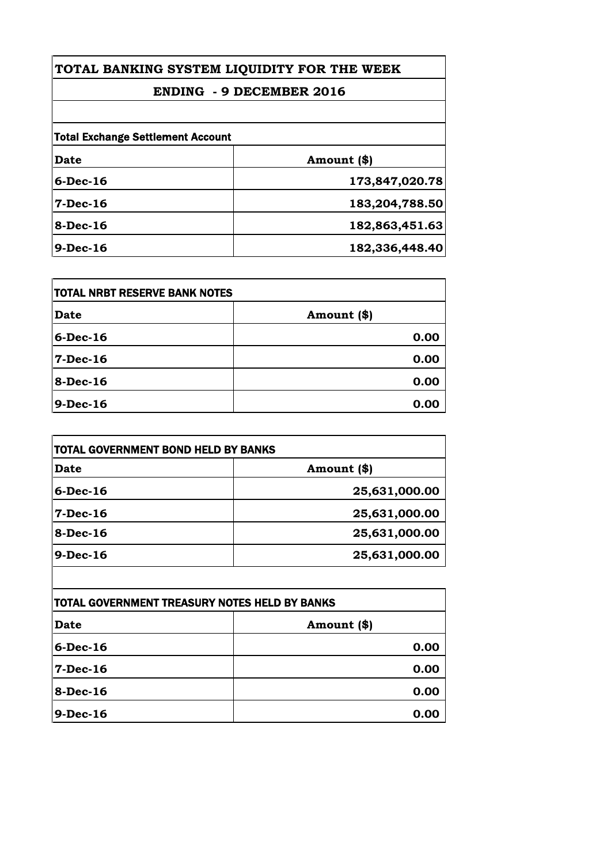## **TOTAL BANKING SYSTEM LIQUIDITY FOR THE WEEK**

## **ENDING - 9 DECEMBER 2016**

| <b>Date</b> | Amount (\$)    |
|-------------|----------------|
| $6$ -Dec-16 | 173,847,020.78 |
| $7-Dec-16$  | 183,204,788.50 |
| $8-Dec-16$  | 182,863,451.63 |
| $9-Dec-16$  | 182,336,448.40 |

| <b>ITOTAL NRBT RESERVE BANK NOTES</b> |             |
|---------------------------------------|-------------|
| Date                                  | Amount (\$) |
| $6$ -Dec-16                           | 0.00        |
| 7-Dec-16                              | 0.00        |
| $8$ -Dec-16                           | 0.00        |
| $9$ -Dec-16                           | 0.00        |

| TOTAL GOVERNMENT BOND HELD BY BANKS |               |
|-------------------------------------|---------------|
| Date                                | Amount (\$)   |
| $6$ -Dec-16                         | 25,631,000.00 |
| $7 - Dec - 16$                      | 25,631,000.00 |
| $8-Dec-16$                          | 25,631,000.00 |
| $9-Dec-16$                          | 25,631,000.00 |

| <b>TOTAL GOVERNMENT TREASURY NOTES HELD BY BANKS</b> |             |
|------------------------------------------------------|-------------|
| Date                                                 | Amount (\$) |
| $6$ -Dec-16                                          | 0.00        |
| 7-Dec-16                                             | 0.00        |
| $8-Dec-16$                                           | 0.00        |
| 9-Dec-16                                             | 0.00        |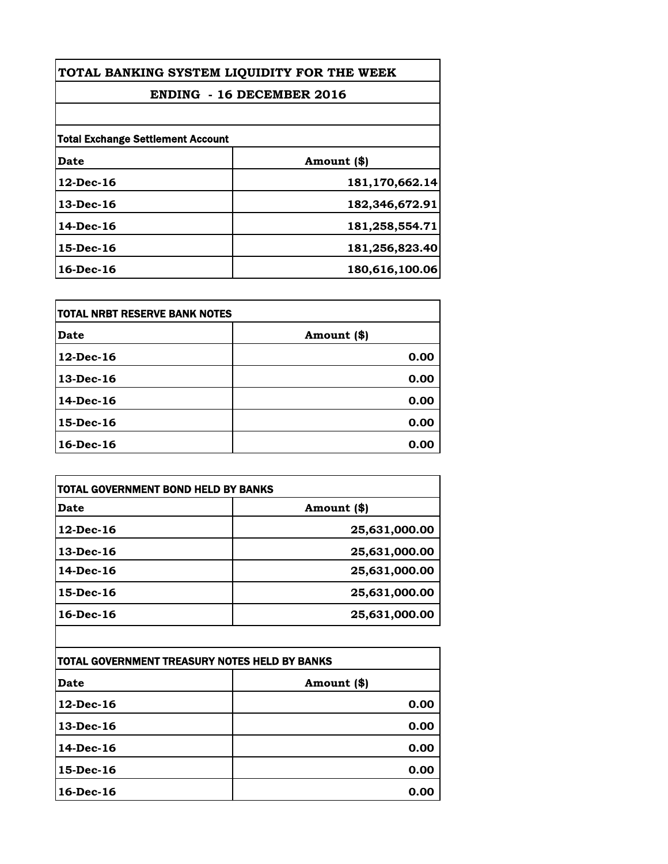| TOTAL BANKING SYSTEM LIQUIDITY FOR THE WEEK |                |
|---------------------------------------------|----------------|
| <b>ENDING - 16 DECEMBER 2016</b>            |                |
|                                             |                |
| <b>Total Exchange Settlement Account</b>    |                |
| Date                                        | Amount (\$)    |
| $12$ -Dec-16                                | 181,170,662.14 |
| $13$ -Dec-16                                | 182,346,672.91 |
| 14-Dec-16                                   | 181,258,554.71 |
| $15$ -Dec-16                                | 181,256,823.40 |
| $16$ -Dec-16                                | 180,616,100.06 |

| itotal NRBT RESERVE BANK NOTES |             |
|--------------------------------|-------------|
| <b>Date</b>                    | Amount (\$) |
| $12$ -Dec-16                   | 0.00        |
| $13$ -Dec-16                   | 0.00        |
| 14-Dec-16                      | 0.00        |
| 15-Dec-16                      | 0.00        |
| 16-Dec-16                      | 0.00        |

| TOTAL GOVERNMENT BOND HELD BY BANKS |               |
|-------------------------------------|---------------|
| Date                                | Amount (\$)   |
| $12$ -Dec-16                        | 25,631,000.00 |
| 13-Dec-16                           | 25,631,000.00 |
| 14-Dec-16                           | 25,631,000.00 |
| $15$ -Dec-16                        | 25,631,000.00 |
| $16$ -Dec-16                        | 25,631,000.00 |

| ITOTAL GOVERNMENT TREASURY NOTES HELD BY BANKS |             |
|------------------------------------------------|-------------|
| Date                                           | Amount (\$) |
| $12$ -Dec-16                                   | 0.00        |
| $13$ -Dec-16                                   | 0.00        |
| 14-Dec-16                                      | 0.00        |
| 15-Dec-16                                      | 0.00        |
| $16$ -Dec-16                                   | 0.00        |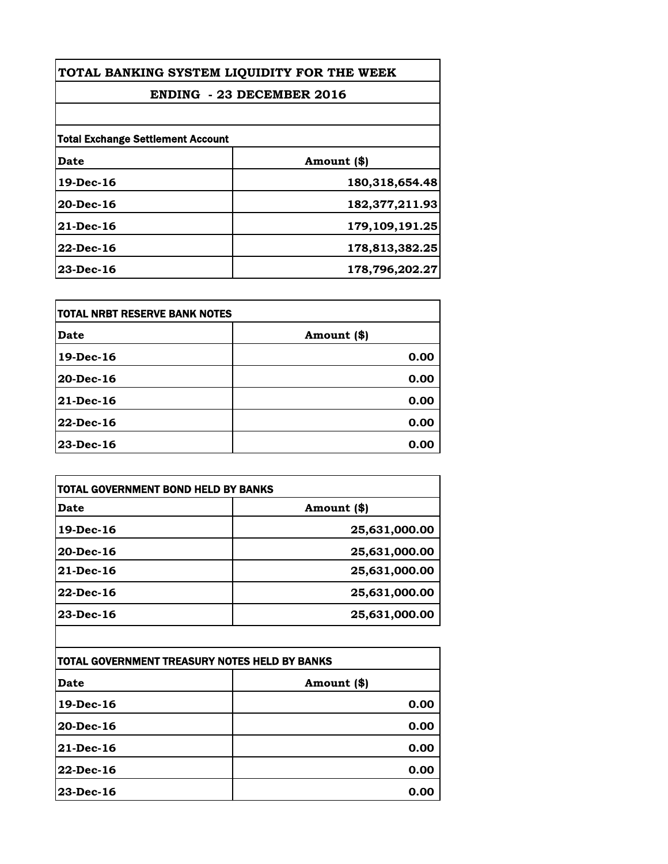| TOTAL BANKING SYSTEM LIQUIDITY FOR THE WEEK<br><b>ENDING - 23 DECEMBER 2016</b> |                |
|---------------------------------------------------------------------------------|----------------|
|                                                                                 |                |
| <b>Total Exchange Settlement Account</b>                                        |                |
| Date                                                                            | Amount (\$)    |
| $19$ -Dec-16                                                                    | 180,318,654.48 |
| $20$ -Dec-16                                                                    | 182,377,211.93 |
| $21$ -Dec-16                                                                    | 179,109,191.25 |
| $22$ -Dec-16                                                                    | 178,813,382.25 |
| $23$ -Dec-16                                                                    | 178,796,202.27 |

| itotal NRBT RESERVE BANK NOTES |             |
|--------------------------------|-------------|
| <b>Date</b>                    | Amount (\$) |
| 19-Dec-16                      | 0.00        |
| 20-Dec-16                      | 0.00        |
| <b>21-Dec-16</b>               | 0.00        |
| 22-Dec-16                      | 0.00        |
| $23$ -Dec-16                   | 0.00        |

| TOTAL GOVERNMENT BOND HELD BY BANKS |               |
|-------------------------------------|---------------|
| Date                                | Amount (\$)   |
| 19-Dec-16                           | 25,631,000.00 |
| $20$ -Dec-16                        | 25,631,000.00 |
| $21$ -Dec-16                        | 25,631,000.00 |
| $22$ -Dec-16                        | 25,631,000.00 |
| $23$ -Dec-16                        | 25,631,000.00 |

| TOTAL GOVERNMENT TREASURY NOTES HELD BY BANKS |             |
|-----------------------------------------------|-------------|
| Date                                          | Amount (\$) |
| 19-Dec-16                                     | 0.00        |
| $20$ -Dec-16                                  | 0.00        |
| <b>21-Dec-16</b>                              | 0.00        |
| $22$ -Dec-16                                  | 0.00        |
| 23-Dec-16                                     | 0.00        |